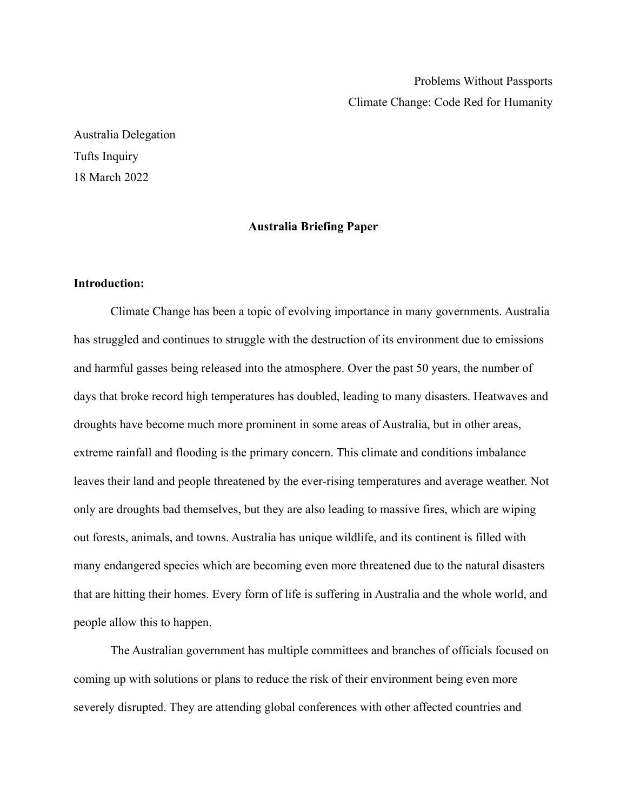Problems Without Passports Climate Change: Code Red for Humanity

Australia Delegation Tufts Inquiry 18 March 2022

# **Australia Briefing Paper**

# **Introduction:**

Climate Change has been a topic of evolving importance in many governments. Australia has struggled and continues to struggle with the destruction of its environment due to emissions and harmful gasses being released into the atmosphere. Over the past 50 years, the number of days that broke record high temperatures has doubled, leading to many disasters. Heatwaves and droughts have become much more prominent in some areas of Australia, but in other areas, extreme rainfall and flooding is the primary concern. This climate and conditions imbalance leaves their land and people threatened by the ever-rising temperatures and average weather. Not only are droughts bad themselves, but they are also leading to massive fires, which are wiping out forests, animals, and towns. Australia has unique wildlife, and its continent is filled with many endangered species which are becoming even more threatened due to the natural disasters that are hitting their homes. Every form of life is suffering in Australia and the whole world, and people allow this to happen.

The Australian government has multiple committees and branches of officials focused on coming up with solutions or plans to reduce the risk of their environment being even more severely disrupted. They are attending global conferences with other affected countries and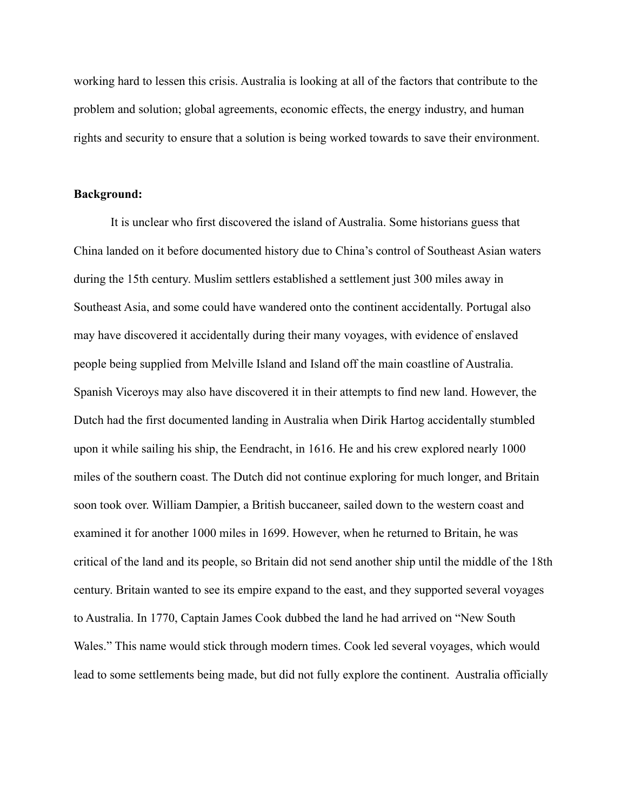working hard to lessen this crisis. Australia is looking at all of the factors that contribute to the problem and solution; global agreements, economic effects, the energy industry, and human rights and security to ensure that a solution is being worked towards to save their environment.

## **Background:**

It is unclear who first discovered the island of Australia. Some historians guess that China landed on it before documented history due to China's control of Southeast Asian waters during the 15th century. Muslim settlers established a settlement just 300 miles away in Southeast Asia, and some could have wandered onto the continent accidentally. Portugal also may have discovered it accidentally during their many voyages, with evidence of enslaved people being supplied from Melville Island and Island off the main coastline of Australia. Spanish Viceroys may also have discovered it in their attempts to find new land. However, the Dutch had the first documented landing in Australia when Dirik Hartog accidentally stumbled upon it while sailing his ship, the Eendracht, in 1616. He and his crew explored nearly 1000 miles of the southern coast. The Dutch did not continue exploring for much longer, and Britain soon took over. William Dampier, a British buccaneer, sailed down to the western coast and examined it for another 1000 miles in 1699. However, when he returned to Britain, he was critical of the land and its people, so Britain did not send another ship until the middle of the 18th century. Britain wanted to see its empire expand to the east, and they supported several voyages to Australia. In 1770, Captain James Cook dubbed the land he had arrived on "New South Wales." This name would stick through modern times. Cook led several voyages, which would lead to some settlements being made, but did not fully explore the continent. Australia officially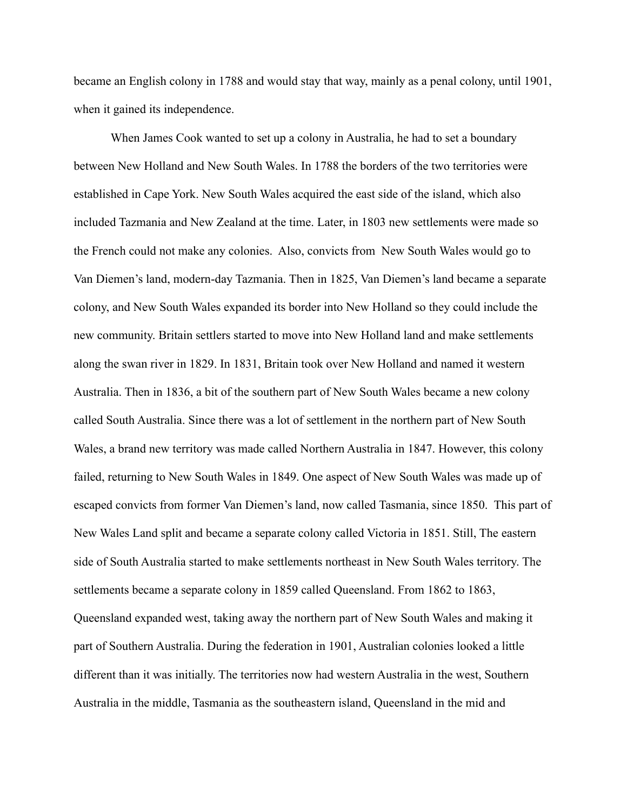became an English colony in 1788 and would stay that way, mainly as a penal colony, until 1901, when it gained its independence.

When James Cook wanted to set up a colony in Australia, he had to set a boundary between New Holland and New South Wales. In 1788 the borders of the two territories were established in Cape York. New South Wales acquired the east side of the island, which also included Tazmania and New Zealand at the time. Later, in 1803 new settlements were made so the French could not make any colonies. Also, convicts from New South Wales would go to Van Diemen's land, modern-day Tazmania. Then in 1825, Van Diemen's land became a separate colony, and New South Wales expanded its border into New Holland so they could include the new community. Britain settlers started to move into New Holland land and make settlements along the swan river in 1829. In 1831, Britain took over New Holland and named it western Australia. Then in 1836, a bit of the southern part of New South Wales became a new colony called South Australia. Since there was a lot of settlement in the northern part of New South Wales, a brand new territory was made called Northern Australia in 1847. However, this colony failed, returning to New South Wales in 1849. One aspect of New South Wales was made up of escaped convicts from former Van Diemen's land, now called Tasmania, since 1850. This part of New Wales Land split and became a separate colony called Victoria in 1851. Still, The eastern side of South Australia started to make settlements northeast in New South Wales territory. The settlements became a separate colony in 1859 called Queensland. From 1862 to 1863, Queensland expanded west, taking away the northern part of New South Wales and making it part of Southern Australia. During the federation in 1901, Australian colonies looked a little different than it was initially. The territories now had western Australia in the west, Southern Australia in the middle, Tasmania as the southeastern island, Queensland in the mid and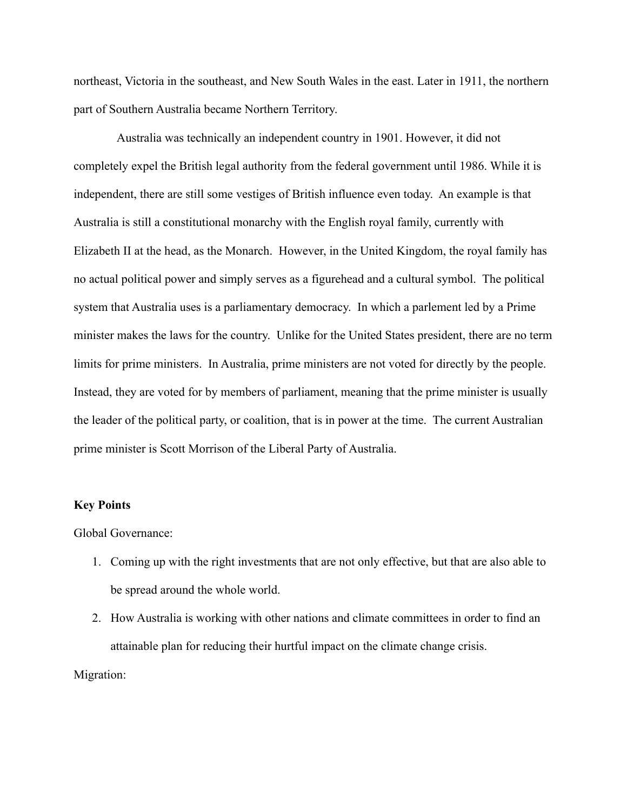northeast, Victoria in the southeast, and New South Wales in the east. Later in 1911, the northern part of Southern Australia became Northern Territory.

Australia was technically an independent country in 1901. However, it did not completely expel the British legal authority from the federal government until 1986. While it is independent, there are still some vestiges of British influence even today. An example is that Australia is still a constitutional monarchy with the English royal family, currently with Elizabeth II at the head, as the Monarch. However, in the United Kingdom, the royal family has no actual political power and simply serves as a figurehead and a cultural symbol. The political system that Australia uses is a parliamentary democracy. In which a parlement led by a Prime minister makes the laws for the country. Unlike for the United States president, there are no term limits for prime ministers. In Australia, prime ministers are not voted for directly by the people. Instead, they are voted for by members of parliament, meaning that the prime minister is usually the leader of the political party, or coalition, that is in power at the time. The current Australian prime minister is Scott Morrison of the Liberal Party of Australia.

#### **Key Points**

Global Governance:

- 1. Coming up with the right investments that are not only effective, but that are also able to be spread around the whole world.
- 2. How Australia is working with other nations and climate committees in order to find an attainable plan for reducing their hurtful impact on the climate change crisis.

Migration: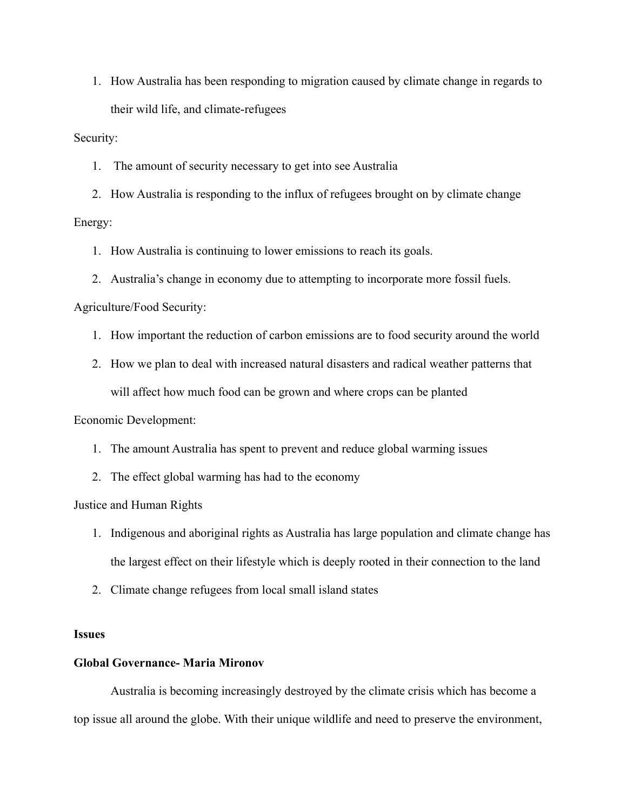1. How Australia has been responding to migration caused by climate change in regards to their wild life, and climate-refugees

Security:

1. The amount of security necessary to get into see Australia

2. How Australia is responding to the influx of refugees brought on by climate change Energy:

1. How Australia is continuing to lower emissions to reach its goals.

2. Australia's change in economy due to attempting to incorporate more fossil fuels.

Agriculture/Food Security:

- 1. How important the reduction of carbon emissions are to food security around the world
- 2. How we plan to deal with increased natural disasters and radical weather patterns that will affect how much food can be grown and where crops can be planted

Economic Development:

- 1. The amount Australia has spent to prevent and reduce global warming issues
- 2. The effect global warming has had to the economy

Justice and Human Rights

- 1. Indigenous and aboriginal rights as Australia has large population and climate change has the largest effect on their lifestyle which is deeply rooted in their connection to the land
- 2. Climate change refugees from local small island states

# **Issues**

#### **Global Governance- Maria Mironov**

Australia is becoming increasingly destroyed by the climate crisis which has become a top issue all around the globe. With their unique wildlife and need to preserve the environment,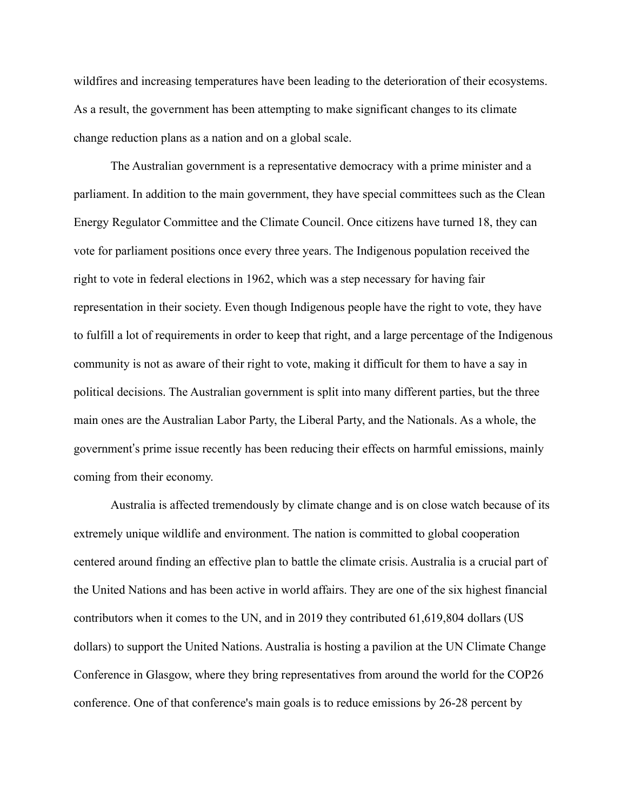wildfires and increasing temperatures have been leading to the deterioration of their ecosystems. As a result, the government has been attempting to make significant changes to its climate change reduction plans as a nation and on a global scale.

The Australian government is a representative democracy with a prime minister and a parliament. In addition to the main government, they have special committees such as the Clean Energy Regulator Committee and the Climate Council. Once citizens have turned 18, they can vote for parliament positions once every three years. The Indigenous population received the right to vote in federal elections in 1962, which was a step necessary for having fair representation in their society. Even though Indigenous people have the right to vote, they have to fulfill a lot of requirements in order to keep that right, and a large percentage of the Indigenous community is not as aware of their right to vote, making it difficult for them to have a say in political decisions. The Australian government is split into many different parties, but the three main ones are the Australian Labor Party, the Liberal Party, and the Nationals. As a whole, the government's prime issue recently has been reducing their effects on harmful emissions, mainly coming from their economy.

Australia is affected tremendously by climate change and is on close watch because of its extremely unique wildlife and environment. The nation is committed to global cooperation centered around finding an effective plan to battle the climate crisis. Australia is a crucial part of the United Nations and has been active in world affairs. They are one of the six highest financial contributors when it comes to the UN, and in 2019 they contributed 61,619,804 dollars (US dollars) to support the United Nations. Australia is hosting a pavilion at the UN Climate Change Conference in Glasgow, where they bring representatives from around the world for the COP26 conference. One of that conference's main goals is to reduce emissions by 26-28 percent by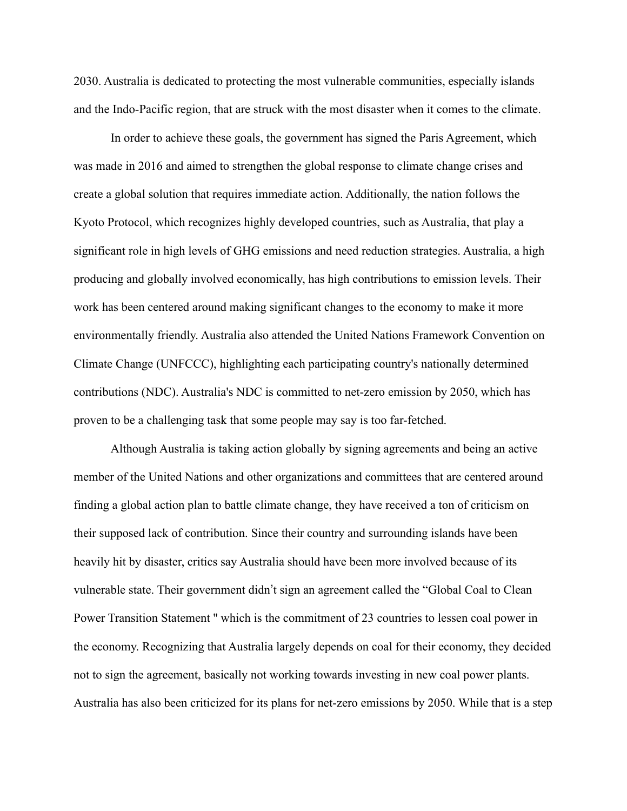2030. Australia is dedicated to protecting the most vulnerable communities, especially islands and the Indo-Pacific region, that are struck with the most disaster when it comes to the climate.

In order to achieve these goals, the government has signed the Paris Agreement, which was made in 2016 and aimed to strengthen the global response to climate change crises and create a global solution that requires immediate action. Additionally, the nation follows the Kyoto Protocol, which recognizes highly developed countries, such as Australia, that play a significant role in high levels of GHG emissions and need reduction strategies. Australia, a high producing and globally involved economically, has high contributions to emission levels. Their work has been centered around making significant changes to the economy to make it more environmentally friendly. Australia also attended the United Nations Framework Convention on Climate Change (UNFCCC), highlighting each participating country's nationally determined contributions (NDC). Australia's NDC is committed to net-zero emission by 2050, which has proven to be a challenging task that some people may say is too far-fetched.

Although Australia is taking action globally by signing agreements and being an active member of the United Nations and other organizations and committees that are centered around finding a global action plan to battle climate change, they have received a ton of criticism on their supposed lack of contribution. Since their country and surrounding islands have been heavily hit by disaster, critics say Australia should have been more involved because of its vulnerable state. Their government didn't sign an agreement called the "Global Coal to Clean Power Transition Statement '' which is the commitment of 23 countries to lessen coal power in the economy. Recognizing that Australia largely depends on coal for their economy, they decided not to sign the agreement, basically not working towards investing in new coal power plants. Australia has also been criticized for its plans for net-zero emissions by 2050. While that is a step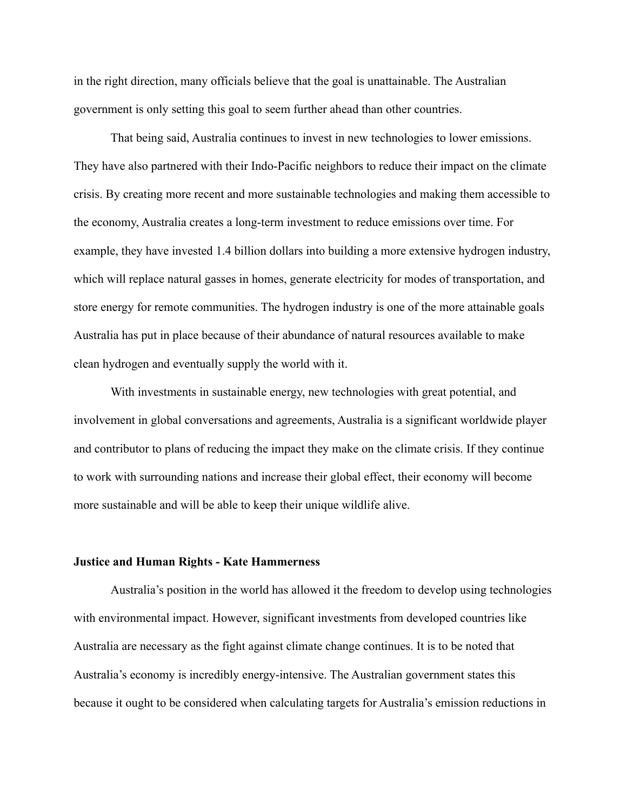in the right direction, many officials believe that the goal is unattainable. The Australian government is only setting this goal to seem further ahead than other countries.

That being said, Australia continues to invest in new technologies to lower emissions. They have also partnered with their Indo-Pacific neighbors to reduce their impact on the climate crisis. By creating more recent and more sustainable technologies and making them accessible to the economy, Australia creates a long-term investment to reduce emissions over time. For example, they have invested 1.4 billion dollars into building a more extensive hydrogen industry, which will replace natural gasses in homes, generate electricity for modes of transportation, and store energy for remote communities. The hydrogen industry is one of the more attainable goals Australia has put in place because of their abundance of natural resources available to make clean hydrogen and eventually supply the world with it.

With investments in sustainable energy, new technologies with great potential, and involvement in global conversations and agreements, Australia is a significant worldwide player and contributor to plans of reducing the impact they make on the climate crisis. If they continue to work with surrounding nations and increase their global effect, their economy will become more sustainable and will be able to keep their unique wildlife alive.

#### **Justice and Human Rights - Kate Hammerness**

Australia's position in the world has allowed it the freedom to develop using technologies with environmental impact. However, significant investments from developed countries like Australia are necessary as the fight against climate change continues. It is to be noted that Australia's economy is incredibly energy-intensive. The Australian government states this because it ought to be considered when calculating targets for Australia's emission reductions in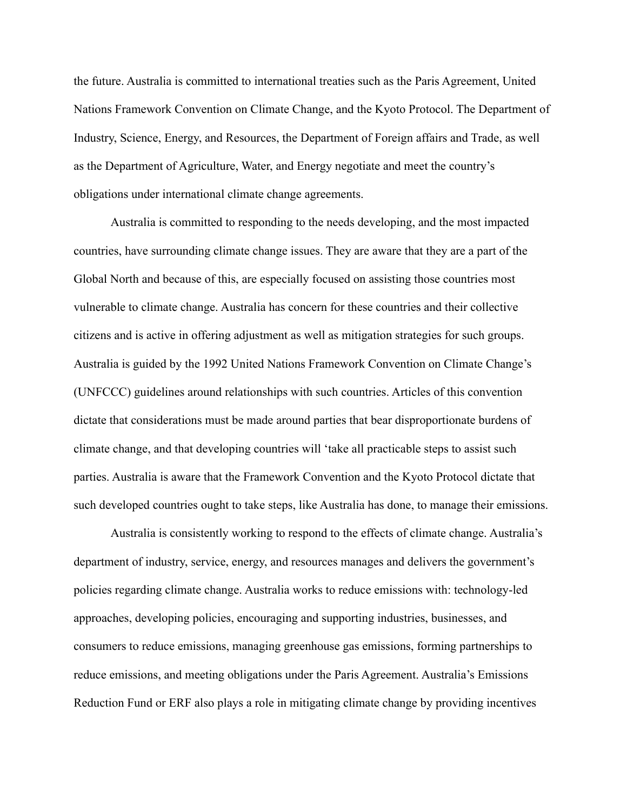the future. Australia is committed to international treaties such as the Paris Agreement, United Nations Framework Convention on Climate Change, and the Kyoto Protocol. The Department of Industry, Science, Energy, and Resources, the Department of Foreign affairs and Trade, as well as the Department of Agriculture, Water, and Energy negotiate and meet the country's obligations under international climate change agreements.

Australia is committed to responding to the needs developing, and the most impacted countries, have surrounding climate change issues. They are aware that they are a part of the Global North and because of this, are especially focused on assisting those countries most vulnerable to climate change. Australia has concern for these countries and their collective citizens and is active in offering adjustment as well as mitigation strategies for such groups. Australia is guided by the 1992 United Nations Framework Convention on Climate Change's (UNFCCC) guidelines around relationships with such countries. Articles of this convention dictate that considerations must be made around parties that bear disproportionate burdens of climate change, and that developing countries will 'take all practicable steps to assist such parties. Australia is aware that the Framework Convention and the Kyoto Protocol dictate that such developed countries ought to take steps, like Australia has done, to manage their emissions.

Australia is consistently working to respond to the effects of climate change. Australia's department of industry, service, energy, and resources manages and delivers the government's policies regarding climate change. Australia works to reduce emissions with: technology-led approaches, developing policies, encouraging and supporting industries, businesses, and consumers to reduce emissions, managing greenhouse gas emissions, forming partnerships to reduce emissions, and meeting obligations under the Paris Agreement. Australia's Emissions Reduction Fund or ERF also plays a role in mitigating climate change by providing incentives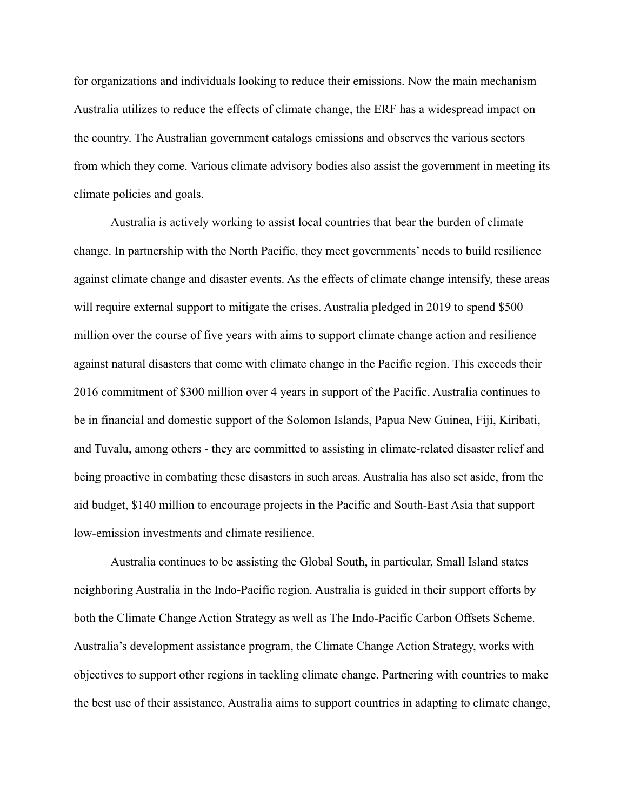for organizations and individuals looking to reduce their emissions. Now the main mechanism Australia utilizes to reduce the effects of climate change, the ERF has a widespread impact on the country. The Australian government catalogs emissions and observes the various sectors from which they come. Various climate advisory bodies also assist the government in meeting its climate policies and goals.

Australia is actively working to assist local countries that bear the burden of climate change. In partnership with the North Pacific, they meet governments' needs to build resilience against climate change and disaster events. As the effects of climate change intensify, these areas will require external support to mitigate the crises. Australia pledged in 2019 to spend \$500 million over the course of five years with aims to support climate change action and resilience against natural disasters that come with climate change in the Pacific region. This exceeds their 2016 commitment of \$300 million over 4 years in support of the Pacific. Australia continues to be in financial and domestic support of the Solomon Islands, Papua New Guinea, Fiji, Kiribati, and Tuvalu, among others - they are committed to assisting in climate-related disaster relief and being proactive in combating these disasters in such areas. Australia has also set aside, from the aid budget, \$140 million to encourage projects in the Pacific and South-East Asia that support low-emission investments and climate resilience.

Australia continues to be assisting the Global South, in particular, Small Island states neighboring Australia in the Indo-Pacific region. Australia is guided in their support efforts by both the Climate Change Action Strategy as well as The Indo-Pacific Carbon Offsets Scheme. Australia's development assistance program, the Climate Change Action Strategy, works with objectives to support other regions in tackling climate change. Partnering with countries to make the best use of their assistance, Australia aims to support countries in adapting to climate change,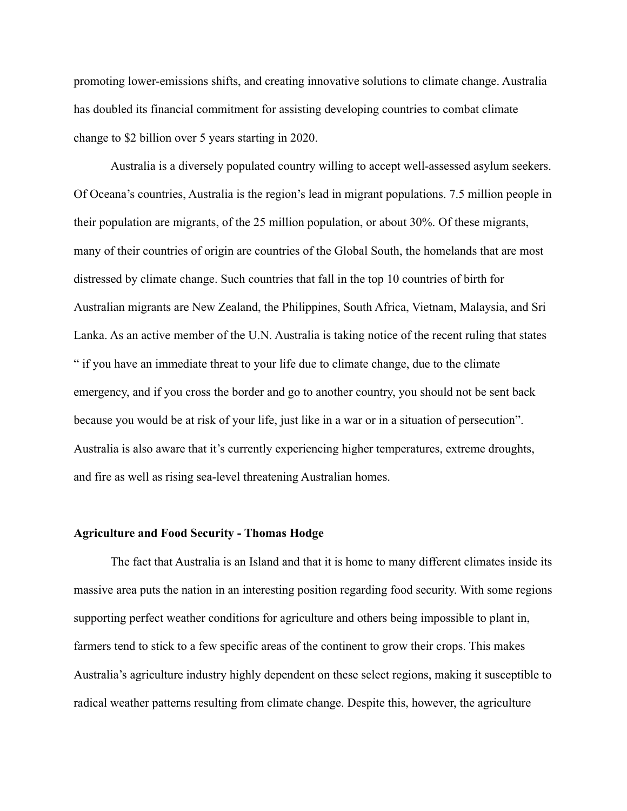promoting lower-emissions shifts, and creating innovative solutions to climate change. Australia has doubled its financial commitment for assisting developing countries to combat climate change to \$2 billion over 5 years starting in 2020.

Australia is a diversely populated country willing to accept well-assessed asylum seekers. Of Oceana's countries, Australia is the region's lead in migrant populations. 7.5 million people in their population are migrants, of the 25 million population, or about 30%. Of these migrants, many of their countries of origin are countries of the Global South, the homelands that are most distressed by climate change. Such countries that fall in the top 10 countries of birth for Australian migrants are New Zealand, the Philippines, South Africa, Vietnam, Malaysia, and Sri Lanka. As an active member of the U.N. Australia is taking notice of the recent ruling that states " if you have an immediate threat to your life due to climate change, due to the climate emergency, and if you cross the border and go to another country, you should not be sent back because you would be at risk of your life, just like in a war or in a situation of persecution". Australia is also aware that it's currently experiencing higher temperatures, extreme droughts, and fire as well as rising sea-level threatening Australian homes.

# **Agriculture and Food Security - Thomas Hodge**

The fact that Australia is an Island and that it is home to many different climates inside its massive area puts the nation in an interesting position regarding food security. With some regions supporting perfect weather conditions for agriculture and others being impossible to plant in, farmers tend to stick to a few specific areas of the continent to grow their crops. This makes Australia's agriculture industry highly dependent on these select regions, making it susceptible to radical weather patterns resulting from climate change. Despite this, however, the agriculture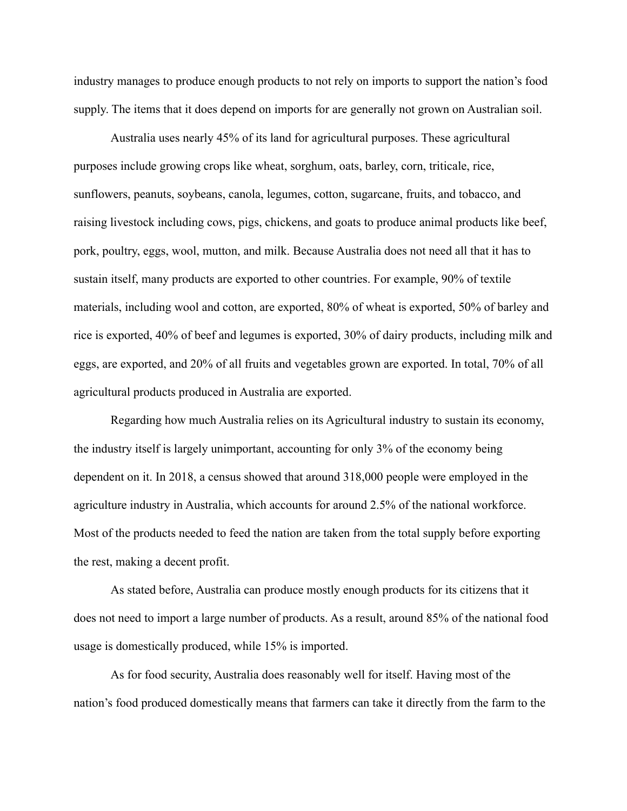industry manages to produce enough products to not rely on imports to support the nation's food supply. The items that it does depend on imports for are generally not grown on Australian soil.

Australia uses nearly 45% of its land for agricultural purposes. These agricultural purposes include growing crops like wheat, sorghum, oats, barley, corn, triticale, rice, sunflowers, peanuts, soybeans, canola, legumes, cotton, sugarcane, fruits, and tobacco, and raising livestock including cows, pigs, chickens, and goats to produce animal products like beef, pork, poultry, eggs, wool, mutton, and milk. Because Australia does not need all that it has to sustain itself, many products are exported to other countries. For example, 90% of textile materials, including wool and cotton, are exported, 80% of wheat is exported, 50% of barley and rice is exported, 40% of beef and legumes is exported, 30% of dairy products, including milk and eggs, are exported, and 20% of all fruits and vegetables grown are exported. In total, 70% of all agricultural products produced in Australia are exported.

Regarding how much Australia relies on its Agricultural industry to sustain its economy, the industry itself is largely unimportant, accounting for only 3% of the economy being dependent on it. In 2018, a census showed that around 318,000 people were employed in the agriculture industry in Australia, which accounts for around 2.5% of the national workforce. Most of the products needed to feed the nation are taken from the total supply before exporting the rest, making a decent profit.

As stated before, Australia can produce mostly enough products for its citizens that it does not need to import a large number of products. As a result, around 85% of the national food usage is domestically produced, while 15% is imported.

As for food security, Australia does reasonably well for itself. Having most of the nation's food produced domestically means that farmers can take it directly from the farm to the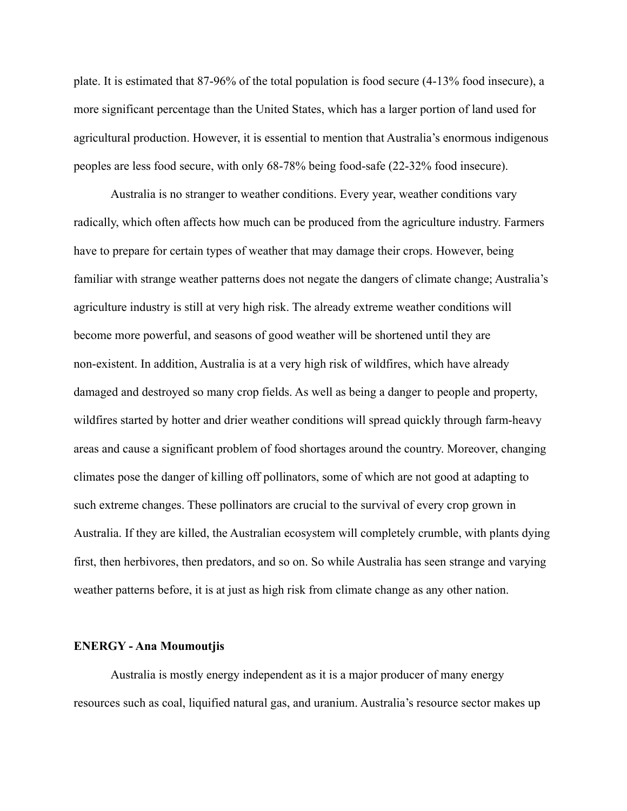plate. It is estimated that 87-96% of the total population is food secure (4-13% food insecure), a more significant percentage than the United States, which has a larger portion of land used for agricultural production. However, it is essential to mention that Australia's enormous indigenous peoples are less food secure, with only 68-78% being food-safe (22-32% food insecure).

Australia is no stranger to weather conditions. Every year, weather conditions vary radically, which often affects how much can be produced from the agriculture industry. Farmers have to prepare for certain types of weather that may damage their crops. However, being familiar with strange weather patterns does not negate the dangers of climate change; Australia's agriculture industry is still at very high risk. The already extreme weather conditions will become more powerful, and seasons of good weather will be shortened until they are non-existent. In addition, Australia is at a very high risk of wildfires, which have already damaged and destroyed so many crop fields. As well as being a danger to people and property, wildfires started by hotter and drier weather conditions will spread quickly through farm-heavy areas and cause a significant problem of food shortages around the country. Moreover, changing climates pose the danger of killing off pollinators, some of which are not good at adapting to such extreme changes. These pollinators are crucial to the survival of every crop grown in Australia. If they are killed, the Australian ecosystem will completely crumble, with plants dying first, then herbivores, then predators, and so on. So while Australia has seen strange and varying weather patterns before, it is at just as high risk from climate change as any other nation.

#### **ENERGY - Ana Moumoutjis**

Australia is mostly energy independent as it is a major producer of many energy resources such as coal, liquified natural gas, and uranium. Australia's resource sector makes up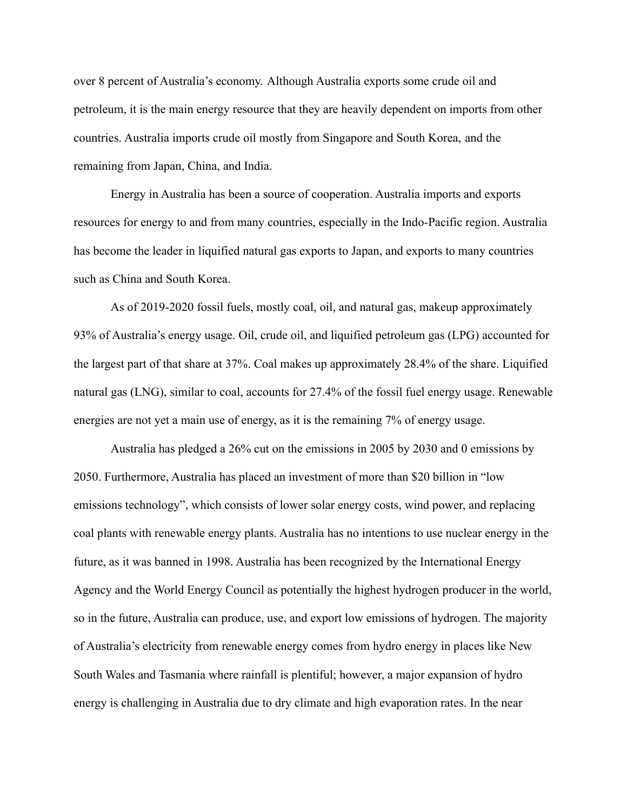over 8 percent of Australia's economy. Although Australia exports some crude oil and petroleum, it is the main energy resource that they are heavily dependent on imports from other countries. Australia imports crude oil mostly from Singapore and South Korea, and the remaining from Japan, China, and India.

Energy in Australia has been a source of cooperation. Australia imports and exports resources for energy to and from many countries, especially in the Indo-Pacific region. Australia has become the leader in liquified natural gas exports to Japan, and exports to many countries such as China and South Korea.

As of 2019-2020 fossil fuels, mostly coal, oil, and natural gas, makeup approximately 93% of Australia's energy usage. Oil, crude oil, and liquified petroleum gas (LPG) accounted for the largest part of that share at 37%. Coal makes up approximately 28.4% of the share. Liquified natural gas (LNG), similar to coal, accounts for 27.4% of the fossil fuel energy usage. Renewable energies are not yet a main use of energy, as it is the remaining 7% of energy usage.

Australia has pledged a 26% cut on the emissions in 2005 by 2030 and 0 emissions by 2050. Furthermore, Australia has placed an investment of more than \$20 billion in "low emissions technology", which consists of lower solar energy costs, wind power, and replacing coal plants with renewable energy plants. Australia has no intentions to use nuclear energy in the future, as it was banned in 1998. Australia has been recognized by the International Energy Agency and the World Energy Council as potentially the highest hydrogen producer in the world, so in the future, Australia can produce, use, and export low emissions of hydrogen. The majority of Australia's electricity from renewable energy comes from hydro energy in places like New South Wales and Tasmania where rainfall is plentiful; however, a major expansion of hydro energy is challenging in Australia due to dry climate and high evaporation rates. In the near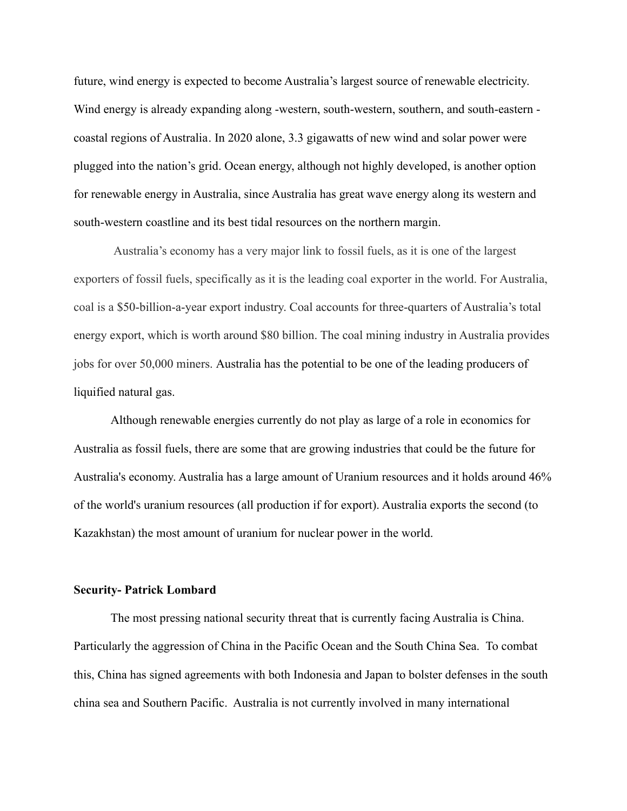future, wind energy is expected to become Australia's largest source of renewable electricity. Wind energy is already expanding along -western, south-western, southern, and south-eastern coastal regions of Australia. In 2020 alone, 3.3 gigawatts of new wind and solar power were plugged into the nation's grid. Ocean energy, although not highly developed, is another option for renewable energy in Australia, since Australia has great wave energy along its western and south-western coastline and its best tidal resources on the northern margin.

Australia's economy has a very major link to fossil fuels, as it is one of the largest exporters of fossil fuels, specifically as it is the leading coal exporter in the world. For Australia, coal is a \$50-billion-a-year export industry. Coal accounts for three-quarters of Australia's total energy export, which is worth around \$80 billion. The coal mining industry in Australia provides jobs for over 50,000 miners. Australia has the potential to be one of the leading producers of liquified natural gas.

Although renewable energies currently do not play as large of a role in economics for Australia as fossil fuels, there are some that are growing industries that could be the future for Australia's economy. Australia has a large amount of Uranium resources and it holds around 46% of the world's uranium resources (all production if for export). Australia exports the second (to Kazakhstan) the most amount of uranium for nuclear power in the world.

### **Security- Patrick Lombard**

The most pressing national security threat that is currently facing Australia is China. Particularly the aggression of China in the Pacific Ocean and the South China Sea. To combat this, China has signed agreements with both Indonesia and Japan to bolster defenses in the south china sea and Southern Pacific. Australia is not currently involved in many international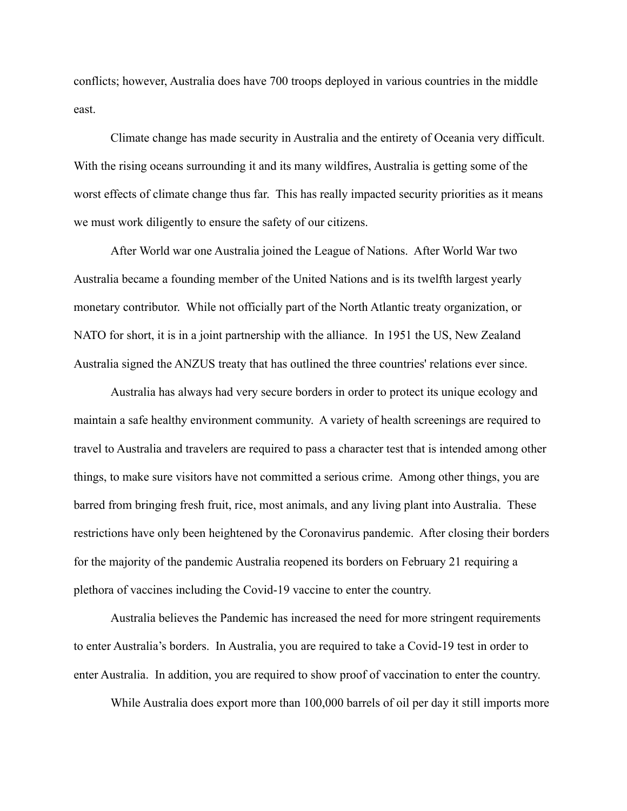conflicts; however, Australia does have 700 troops deployed in various countries in the middle east.

Climate change has made security in Australia and the entirety of Oceania very difficult. With the rising oceans surrounding it and its many wildfires, Australia is getting some of the worst effects of climate change thus far. This has really impacted security priorities as it means we must work diligently to ensure the safety of our citizens.

After World war one Australia joined the League of Nations. After World War two Australia became a founding member of the United Nations and is its twelfth largest yearly monetary contributor. While not officially part of the North Atlantic treaty organization, or NATO for short, it is in a joint partnership with the alliance. In 1951 the US, New Zealand Australia signed the ANZUS treaty that has outlined the three countries' relations ever since.

Australia has always had very secure borders in order to protect its unique ecology and maintain a safe healthy environment community. A variety of health screenings are required to travel to Australia and travelers are required to pass a character test that is intended among other things, to make sure visitors have not committed a serious crime. Among other things, you are barred from bringing fresh fruit, rice, most animals, and any living plant into Australia. These restrictions have only been heightened by the Coronavirus pandemic. After closing their borders for the majority of the pandemic Australia reopened its borders on February 21 requiring a plethora of vaccines including the Covid-19 vaccine to enter the country.

Australia believes the Pandemic has increased the need for more stringent requirements to enter Australia's borders. In Australia, you are required to take a Covid-19 test in order to enter Australia. In addition, you are required to show proof of vaccination to enter the country.

While Australia does export more than 100,000 barrels of oil per day it still imports more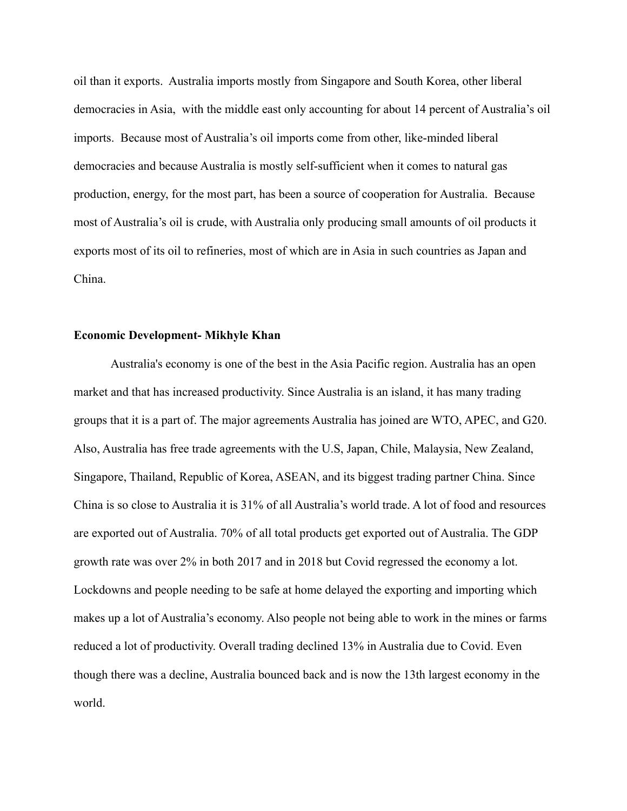oil than it exports. Australia imports mostly from Singapore and South Korea, other liberal democracies in Asia, with the middle east only accounting for about 14 percent of Australia's oil imports. Because most of Australia's oil imports come from other, like-minded liberal democracies and because Australia is mostly self-sufficient when it comes to natural gas production, energy, for the most part, has been a source of cooperation for Australia. Because most of Australia's oil is crude, with Australia only producing small amounts of oil products it exports most of its oil to refineries, most of which are in Asia in such countries as Japan and China.

# **Economic Development- Mikhyle Khan**

Australia's economy is one of the best in the Asia Pacific region. Australia has an open market and that has increased productivity. Since Australia is an island, it has many trading groups that it is a part of. The major agreements Australia has joined are WTO, APEC, and G20. Also, Australia has free trade agreements with the U.S, Japan, Chile, Malaysia, New Zealand, Singapore, Thailand, Republic of Korea, ASEAN, and its biggest trading partner China. Since China is so close to Australia it is 31% of all Australia's world trade. A lot of food and resources are exported out of Australia. 70% of all total products get exported out of Australia. The GDP growth rate was over 2% in both 2017 and in 2018 but Covid regressed the economy a lot. Lockdowns and people needing to be safe at home delayed the exporting and importing which makes up a lot of Australia's economy. Also people not being able to work in the mines or farms reduced a lot of productivity. Overall trading declined 13% in Australia due to Covid. Even though there was a decline, Australia bounced back and is now the 13th largest economy in the world.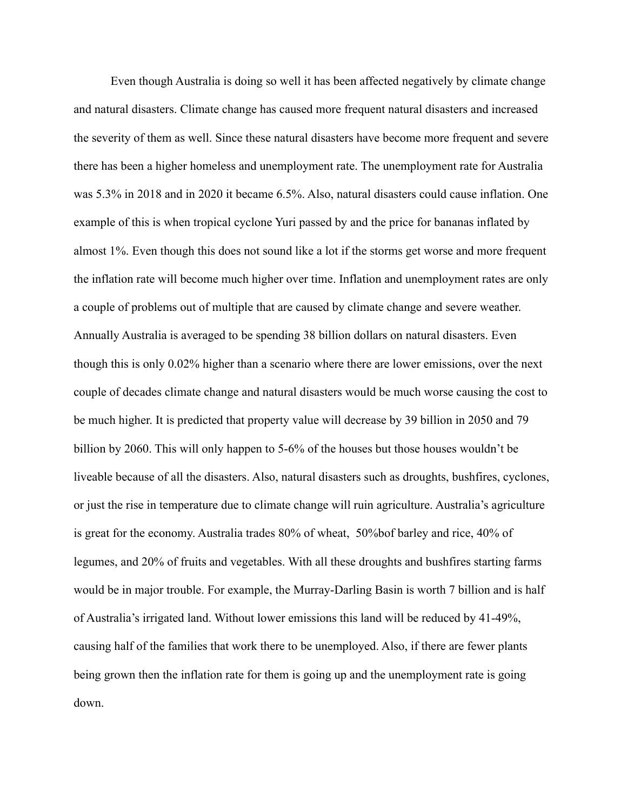Even though Australia is doing so well it has been affected negatively by climate change and natural disasters. Climate change has caused more frequent natural disasters and increased the severity of them as well. Since these natural disasters have become more frequent and severe there has been a higher homeless and unemployment rate. The unemployment rate for Australia was 5.3% in 2018 and in 2020 it became 6.5%. Also, natural disasters could cause inflation. One example of this is when tropical cyclone Yuri passed by and the price for bananas inflated by almost 1%. Even though this does not sound like a lot if the storms get worse and more frequent the inflation rate will become much higher over time. Inflation and unemployment rates are only a couple of problems out of multiple that are caused by climate change and severe weather. Annually Australia is averaged to be spending 38 billion dollars on natural disasters. Even though this is only 0.02% higher than a scenario where there are lower emissions, over the next couple of decades climate change and natural disasters would be much worse causing the cost to be much higher. It is predicted that property value will decrease by 39 billion in 2050 and 79 billion by 2060. This will only happen to 5-6% of the houses but those houses wouldn't be liveable because of all the disasters. Also, natural disasters such as droughts, bushfires, cyclones, or just the rise in temperature due to climate change will ruin agriculture. Australia's agriculture is great for the economy. Australia trades 80% of wheat, 50%bof barley and rice, 40% of legumes, and 20% of fruits and vegetables. With all these droughts and bushfires starting farms would be in major trouble. For example, the Murray-Darling Basin is worth 7 billion and is half of Australia's irrigated land. Without lower emissions this land will be reduced by 41-49%, causing half of the families that work there to be unemployed. Also, if there are fewer plants being grown then the inflation rate for them is going up and the unemployment rate is going down.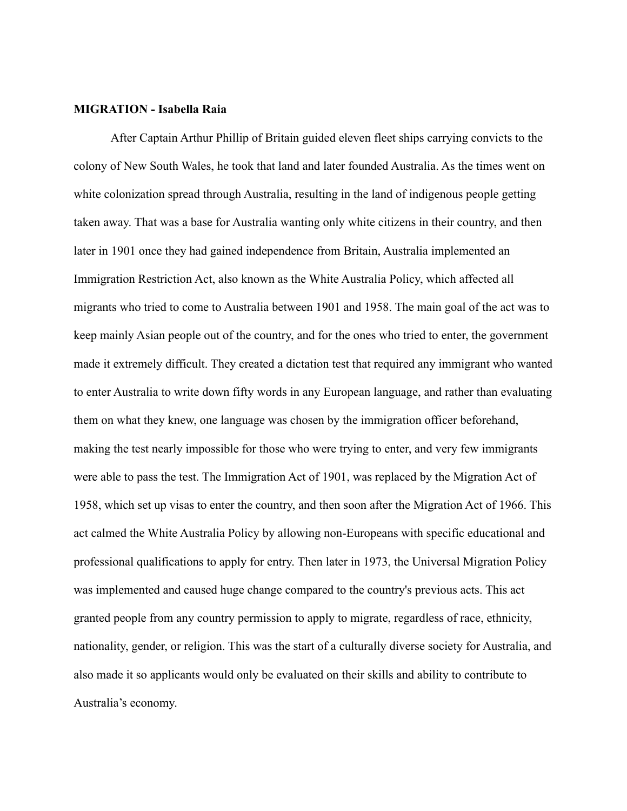## **MIGRATION - Isabella Raia**

After Captain Arthur Phillip of Britain guided eleven fleet ships carrying convicts to the colony of New South Wales, he took that land and later founded Australia. As the times went on white colonization spread through Australia, resulting in the land of indigenous people getting taken away. That was a base for Australia wanting only white citizens in their country, and then later in 1901 once they had gained independence from Britain, Australia implemented an Immigration Restriction Act, also known as the White Australia Policy, which affected all migrants who tried to come to Australia between 1901 and 1958. The main goal of the act was to keep mainly Asian people out of the country, and for the ones who tried to enter, the government made it extremely difficult. They created a dictation test that required any immigrant who wanted to enter Australia to write down fifty words in any European language, and rather than evaluating them on what they knew, one language was chosen by the immigration officer beforehand, making the test nearly impossible for those who were trying to enter, and very few immigrants were able to pass the test. The Immigration Act of 1901, was replaced by the Migration Act of 1958, which set up visas to enter the country, and then soon after the Migration Act of 1966. This act calmed the White Australia Policy by allowing non-Europeans with specific educational and professional qualifications to apply for entry. Then later in 1973, the Universal Migration Policy was implemented and caused huge change compared to the country's previous acts. This act granted people from any country permission to apply to migrate, regardless of race, ethnicity, nationality, gender, or religion. This was the start of a culturally diverse society for Australia, and also made it so applicants would only be evaluated on their skills and ability to contribute to Australia's economy.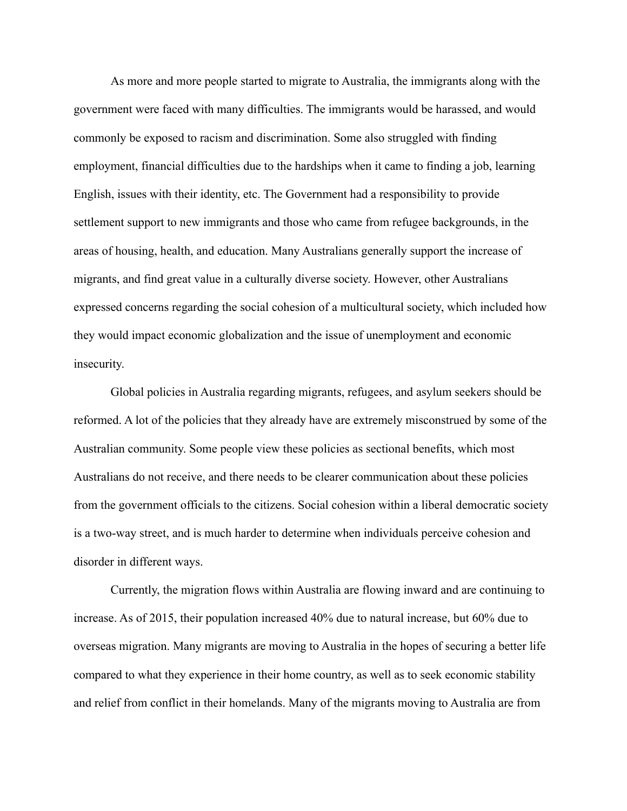As more and more people started to migrate to Australia, the immigrants along with the government were faced with many difficulties. The immigrants would be harassed, and would commonly be exposed to racism and discrimination. Some also struggled with finding employment, financial difficulties due to the hardships when it came to finding a job, learning English, issues with their identity, etc. The Government had a responsibility to provide settlement support to new immigrants and those who came from refugee backgrounds, in the areas of housing, health, and education. Many Australians generally support the increase of migrants, and find great value in a culturally diverse society. However, other Australians expressed concerns regarding the social cohesion of a multicultural society, which included how they would impact economic globalization and the issue of unemployment and economic insecurity.

Global policies in Australia regarding migrants, refugees, and asylum seekers should be reformed. A lot of the policies that they already have are extremely misconstrued by some of the Australian community. Some people view these policies as sectional benefits, which most Australians do not receive, and there needs to be clearer communication about these policies from the government officials to the citizens. Social cohesion within a liberal democratic society is a two-way street, and is much harder to determine when individuals perceive cohesion and disorder in different ways.

Currently, the migration flows within Australia are flowing inward and are continuing to increase. As of 2015, their population increased 40% due to natural increase, but 60% due to overseas migration. Many migrants are moving to Australia in the hopes of securing a better life compared to what they experience in their home country, as well as to seek economic stability and relief from conflict in their homelands. Many of the migrants moving to Australia are from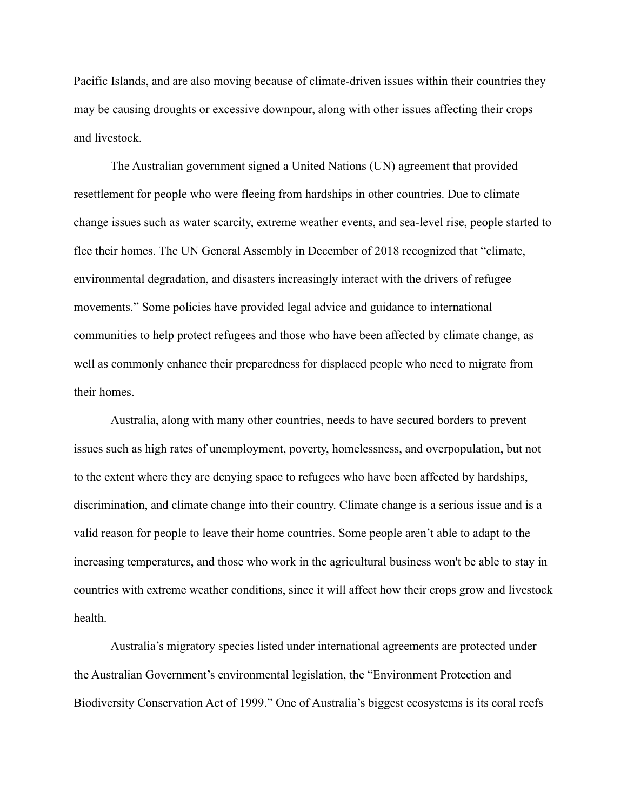Pacific Islands, and are also moving because of climate-driven issues within their countries they may be causing droughts or excessive downpour, along with other issues affecting their crops and livestock.

The Australian government signed a United Nations (UN) agreement that provided resettlement for people who were fleeing from hardships in other countries. Due to climate change issues such as water scarcity, extreme weather events, and sea-level rise, people started to flee their homes. The UN General Assembly in December of 2018 recognized that "climate, environmental degradation, and disasters increasingly interact with the drivers of refugee movements." Some policies have provided legal advice and guidance to international communities to help protect refugees and those who have been affected by climate change, as well as commonly enhance their preparedness for displaced people who need to migrate from their homes.

Australia, along with many other countries, needs to have secured borders to prevent issues such as high rates of unemployment, poverty, homelessness, and overpopulation, but not to the extent where they are denying space to refugees who have been affected by hardships, discrimination, and climate change into their country. Climate change is a serious issue and is a valid reason for people to leave their home countries. Some people aren't able to adapt to the increasing temperatures, and those who work in the agricultural business won't be able to stay in countries with extreme weather conditions, since it will affect how their crops grow and livestock health.

Australia's migratory species listed under international agreements are protected under the Australian Government's environmental legislation, the "Environment Protection and Biodiversity Conservation Act of 1999." One of Australia's biggest ecosystems is its coral reefs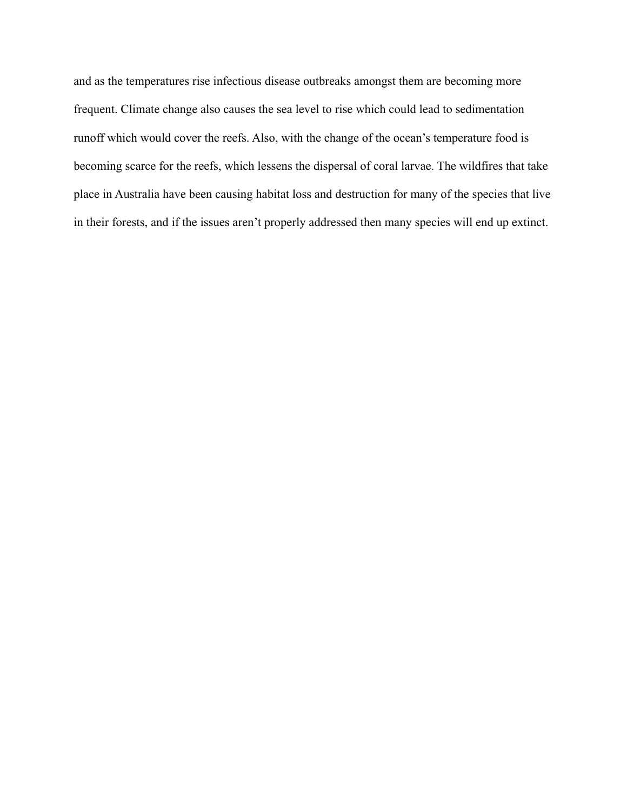and as the temperatures rise infectious disease outbreaks amongst them are becoming more frequent. Climate change also causes the sea level to rise which could lead to sedimentation runoff which would cover the reefs. Also, with the change of the ocean's temperature food is becoming scarce for the reefs, which lessens the dispersal of coral larvae. The wildfires that take place in Australia have been causing habitat loss and destruction for many of the species that live in their forests, and if the issues aren't properly addressed then many species will end up extinct.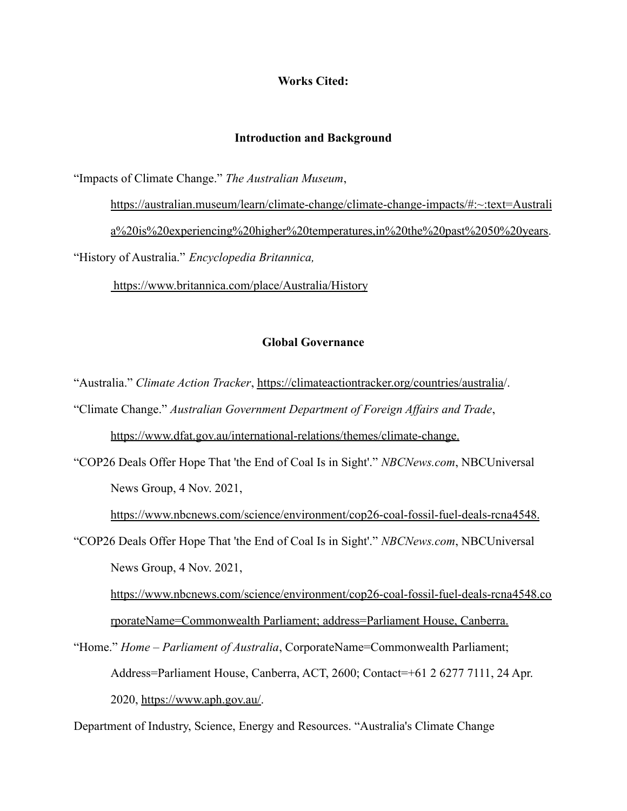# **Works Cited:**

# **Introduction and Background**

"Impacts of Climate Change." *The Australian Museum*,

https://australian.museum/learn/climate-change/climate-change-impacts/#:~:text=Australi a%20is%20experiencing%20higher%20temperatures,in%20the%20past%2050%20years. "History of Australia." *Encyclopedia Britannica,*

https://www.britannica.com/place/Australia/History

# **Global Governance**

"Australia." *Climate Action Tracker*, https://climateactiontracker.org/countries/australia/.

"Climate Change." *Australian Government Department of Foreign Affairs and Trade*,

https://www.dfat.gov.au/international-relations/themes/climate-change.

"COP26 Deals Offer Hope That 'the End of Coal Is in Sight'." *NBCNews.com*, NBCUniversal News Group, 4 Nov. 2021,

https://www.nbcnews.com/science/environment/cop26-coal-fossil-fuel-deals-rcna4548.

"COP26 Deals Offer Hope That 'the End of Coal Is in Sight'." *NBCNews.com*, NBCUniversal News Group, 4 Nov. 2021,

https://www.nbcnews.com/science/environment/cop26-coal-fossil-fuel-deals-rcna4548.co rporateName=Commonwealth Parliament; address=Parliament House, Canberra.

"Home." *Home – Parliament of Australia*, CorporateName=Commonwealth Parliament; Address=Parliament House, Canberra, ACT, 2600; Contact=+61 2 6277 7111, 24 Apr. 2020, https://www.aph.gov.au/.

Department of Industry, Science, Energy and Resources. "Australia's Climate Change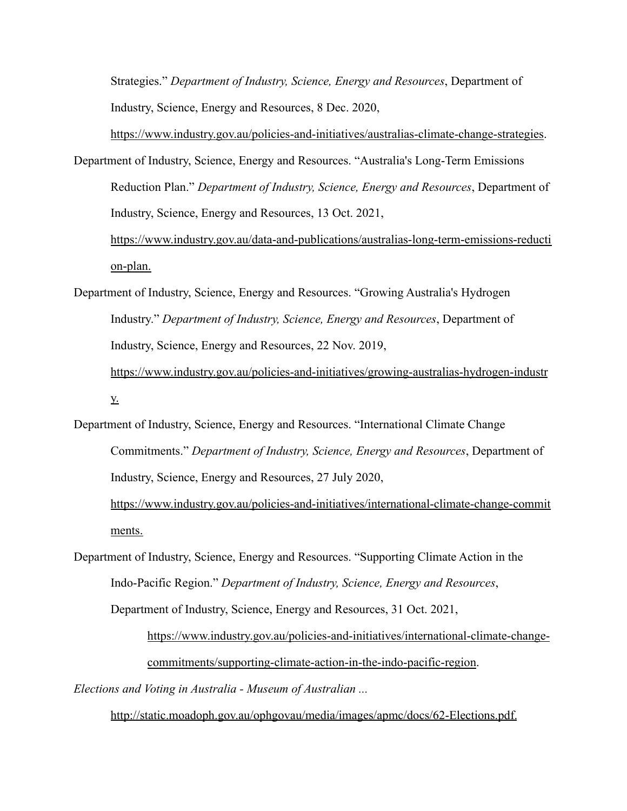Strategies." *Department of Industry, Science, Energy and Resources*, Department of Industry, Science, Energy and Resources, 8 Dec. 2020,

https://www.industry.gov.au/policies-and-initiatives/australias-climate-change-strategies. Department of Industry, Science, Energy and Resources. "Australia's Long-Term Emissions Reduction Plan." *Department of Industry, Science, Energy and Resources*, Department of Industry, Science, Energy and Resources, 13 Oct. 2021, https://www.industry.gov.au/data-and-publications/australias-long-term-emissions-reducti

on-plan.

- Department of Industry, Science, Energy and Resources. "Growing Australia's Hydrogen Industry." *Department of Industry, Science, Energy and Resources*, Department of Industry, Science, Energy and Resources, 22 Nov. 2019, https://www.industry.gov.au/policies-and-initiatives/growing-australias-hydrogen-industr y.
- Department of Industry, Science, Energy and Resources. "International Climate Change Commitments." *Department of Industry, Science, Energy and Resources*, Department of Industry, Science, Energy and Resources, 27 July 2020,

https://www.industry.gov.au/policies-and-initiatives/international-climate-change-commit ments.

Department of Industry, Science, Energy and Resources. "Supporting Climate Action in the Indo-Pacific Region." *Department of Industry, Science, Energy and Resources*,

Department of Industry, Science, Energy and Resources, 31 Oct. 2021,

https://www.industry.gov.au/policies-and-initiatives/international-climate-changecommitments/supporting-climate-action-in-the-indo-pacific-region.

*Elections and Voting in Australia - Museum of Australian ...*

http://static.moadoph.gov.au/ophgovau/media/images/apmc/docs/62-Elections.pdf.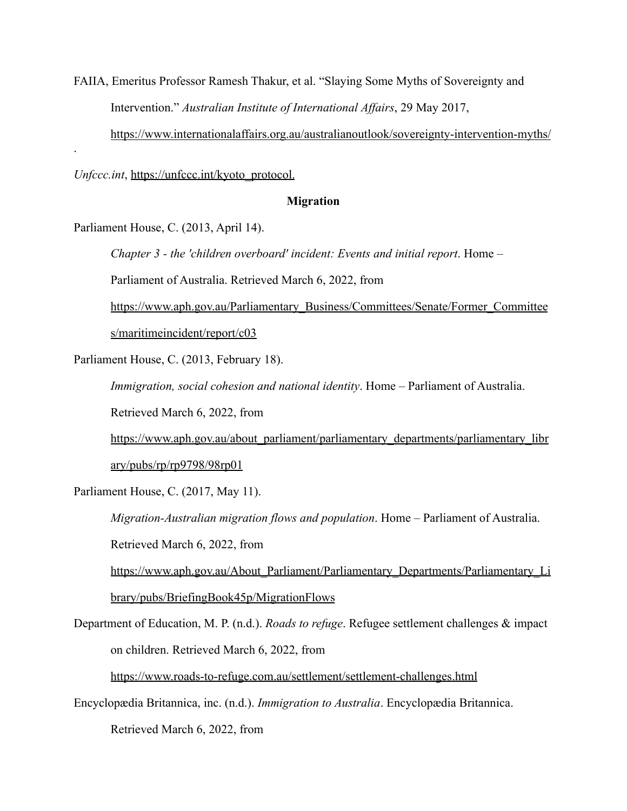FAIIA, Emeritus Professor Ramesh Thakur, et al. "Slaying Some Myths of Sovereignty and Intervention." *Australian Institute of International Affairs*, 29 May 2017,

https://www.internationalaffairs.org.au/australianoutlook/sovereignty-intervention-myths/

*Unfccc.int*, https://unfccc.int/kyoto\_protocol.

## **Migration**

Parliament House, C. (2013, April 14).

.

*Chapter 3 - the 'children overboard' incident: Events and initial report*. Home –

Parliament of Australia. Retrieved March 6, 2022, from

https://www.aph.gov.au/Parliamentary\_Business/Committees/Senate/Former\_Committee s/maritimeincident/report/c03

Parliament House, C. (2013, February 18).

*Immigration, social cohesion and national identity*. Home – Parliament of Australia. Retrieved March 6, 2022, from

https://www.aph.gov.au/about\_parliament/parliamentary\_departments/parliamentary\_libr ary/pubs/rp/rp9798/98rp01

Parliament House, C. (2017, May 11).

*Migration-Australian migration flows and population*. Home – Parliament of Australia. Retrieved March 6, 2022, from

https://www.aph.gov.au/About Parliament/Parliamentary Departments/Parliamentary Li brary/pubs/BriefingBook45p/MigrationFlows

Department of Education, M. P. (n.d.). *Roads to refuge*. Refugee settlement challenges & impact on children. Retrieved March 6, 2022, from

https://www.roads-to-refuge.com.au/settlement/settlement-challenges.html

Encyclopædia Britannica, inc. (n.d.). *Immigration to Australia*. Encyclopædia Britannica.

Retrieved March 6, 2022, from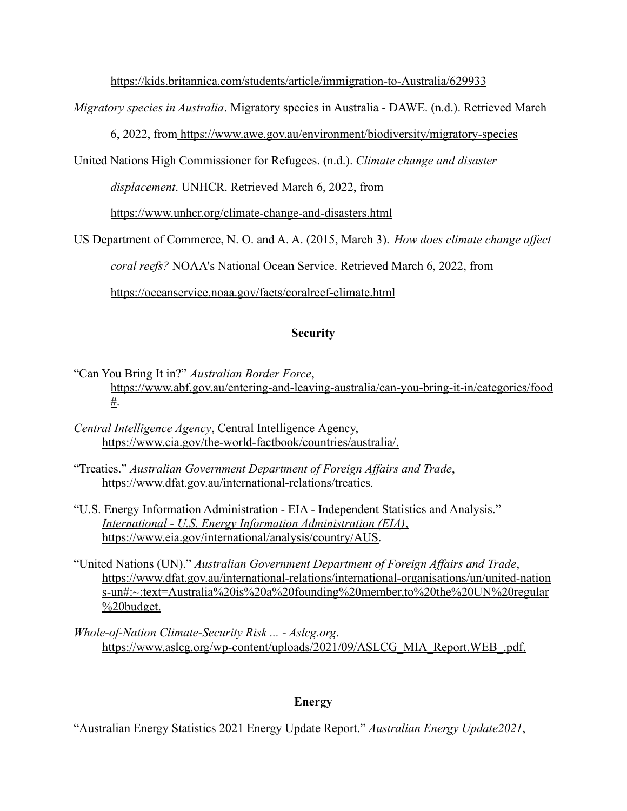https://kids.britannica.com/students/article/immigration-to-Australia/629933

*Migratory species in Australia*. Migratory species in Australia - DAWE. (n.d.). Retrieved March

6, 2022, from https://www.awe.gov.au/environment/biodiversity/migratory-species

United Nations High Commissioner for Refugees. (n.d.). *Climate change and disaster*

*displacement*. UNHCR. Retrieved March 6, 2022, from

https://www.unhcr.org/climate-change-and-disasters.html

US Department of Commerce, N. O. and A. A. (2015, March 3). *How does climate change affect*

*coral reefs?* NOAA's National Ocean Service. Retrieved March 6, 2022, from

https://oceanservice.noaa.gov/facts/coralreef-climate.html

# **Security**

"Can You Bring It in?" *Australian Border Force*, https://www.abf.gov.au/entering-and-leaving-australia/can-you-bring-it-in/categories/food #.

- *Central Intelligence Agency*, Central Intelligence Agency, https://www.cia.gov/the-world-factbook/countries/australia/.
- "Treaties." *Australian Government Department of Foreign Affairs and Trade*, https://www.dfat.gov.au/international-relations/treaties.
- "U.S. Energy Information Administration EIA Independent Statistics and Analysis." *International - U.S. Energy Information Administration (EIA)*, https://www.eia.gov/international/analysis/country/AUS.
- "United Nations (UN)." *Australian Government Department of Foreign Affairs and Trade*, https://www.dfat.gov.au/international-relations/international-organisations/un/united-nation s-un#:~:text=Australia%20is%20a%20founding%20member,to%20the%20UN%20regular  $\frac{9}{20}$ budget.
- *Whole-of-Nation Climate-Security Risk ... Aslcg.org*. https://www.aslcg.org/wp-content/uploads/2021/09/ASLCG\_MIA\_Report.WEB\_.pdf.

# **Energy**

"Australian Energy Statistics 2021 Energy Update Report." *Australian Energy Update2021*,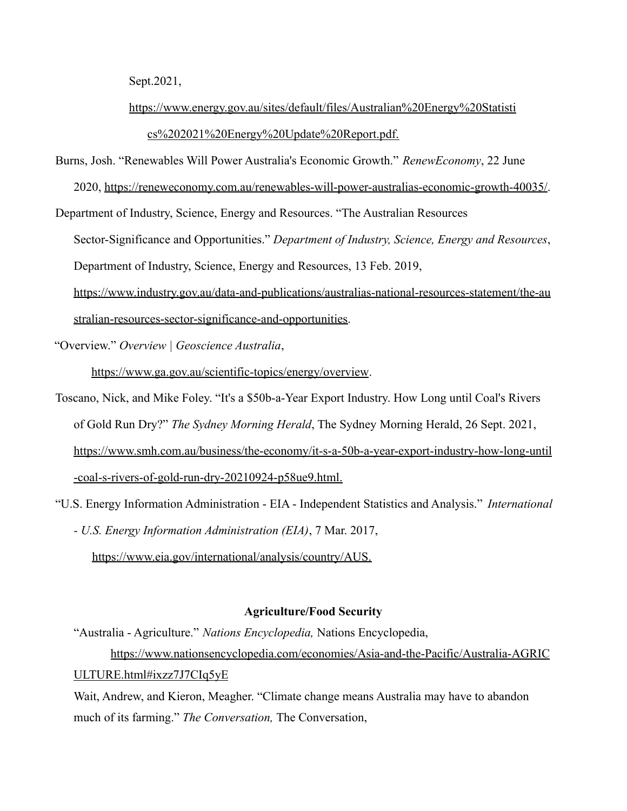Sept.2021,

# https://www.energy.gov.au/sites/default/files/Australian%20Energy%20Statisti

# cs%202021%20Energy%20Update%20Report.pdf.

Burns, Josh. "Renewables Will Power Australia's Economic Growth." *RenewEconomy*, 22 June

2020, https://reneweconomy.com.au/renewables-will-power-australias-economic-growth-40035/.

Department of Industry, Science, Energy and Resources. "The Australian Resources

Sector-Significance and Opportunities." *Department of Industry, Science, Energy and Resources*,

Department of Industry, Science, Energy and Resources, 13 Feb. 2019,

https://www.industry.gov.au/data-and-publications/australias-national-resources-statement/the-au stralian-resources-sector-significance-and-opportunities.

"Overview." *Overview | Geoscience Australia*,

https://www.ga.gov.au/scientific-topics/energy/overview.

Toscano, Nick, and Mike Foley. "It's a \$50b-a-Year Export Industry. How Long until Coal's Rivers of Gold Run Dry?" *The Sydney Morning Herald*, The Sydney Morning Herald, 26 Sept. 2021, https://www.smh.com.au/business/the-economy/it-s-a-50b-a-year-export-industry-how-long-until -coal-s-rivers-of-gold-run-dry-20210924-p58ue9.html.

"U.S. Energy Information Administration - EIA - Independent Statistics and Analysis." *International - U.S. Energy Information Administration (EIA)*, 7 Mar. 2017,

https://www.eia.gov/international/analysis/country/AUS.

# **Agriculture/Food Security**

"Australia - Agriculture." *Nations Encyclopedia,* Nations Encyclopedia, https://www.nationsencyclopedia.com/economies/Asia-and-the-Pacific/Australia-AGRIC ULTURE.html#ixzz7J7CIq5yE

Wait, Andrew, and Kieron, Meagher. "Climate change means Australia may have to abandon much of its farming." *The Conversation,* The Conversation,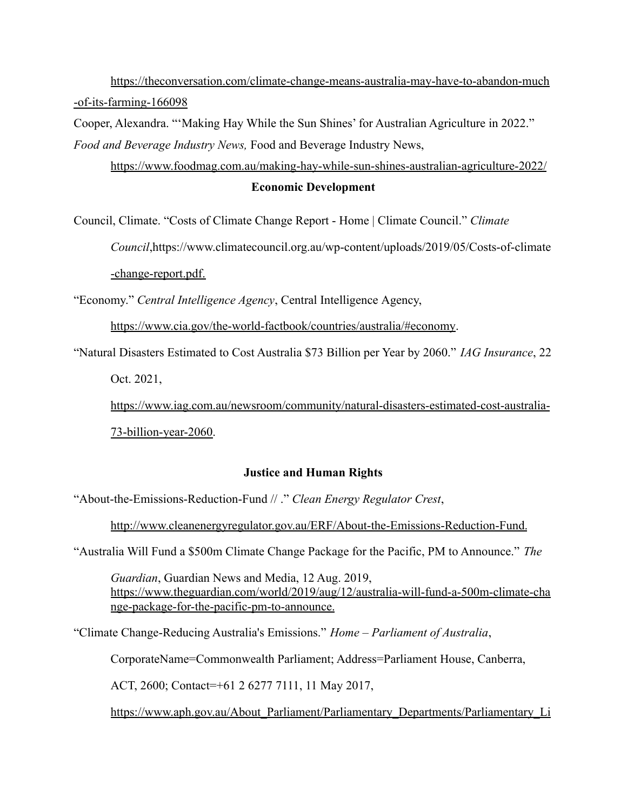https://theconversation.com/climate-change-means-australia-may-have-to-abandon-much -of-its-farming-166098

Cooper, Alexandra. "'Making Hay While the Sun Shines' for Australian Agriculture in 2022." *Food and Beverage Industry News,* Food and Beverage Industry News,

https://www.foodmag.com.au/making-hay-while-sun-shines-australian-agriculture-2022/ **Economic Development**

Council, Climate. "Costs of Climate Change Report - Home | Climate Council." *Climate*

*Council*,https://www.climatecouncil.org.au/wp-content/uploads/2019/05/Costs-of-climate

-change-report.pdf.

"Economy." *Central Intelligence Agency*, Central Intelligence Agency,

https://www.cia.gov/the-world-factbook/countries/australia/#economy.

"Natural Disasters Estimated to Cost Australia \$73 Billion per Year by 2060." *IAG Insurance*, 22

Oct. 2021,

https://www.iag.com.au/newsroom/community/natural-disasters-estimated-cost-australia-73-billion-year-2060.

# **Justice and Human Rights**

"About-the-Emissions-Reduction-Fund // ." *Clean Energy Regulator Crest*,

http://www.cleanenergyregulator.gov.au/ERF/About-the-Emissions-Reduction-Fund.

"Australia Will Fund a \$500m Climate Change Package for the Pacific, PM to Announce." *The*

*Guardian*, Guardian News and Media, 12 Aug. 2019, https://www.theguardian.com/world/2019/aug/12/australia-will-fund-a-500m-climate-cha nge-package-for-the-pacific-pm-to-announce.

"Climate Change-Reducing Australia's Emissions." *Home – Parliament of Australia*,

CorporateName=Commonwealth Parliament; Address=Parliament House, Canberra,

ACT, 2600; Contact=+61 2 6277 7111, 11 May 2017,

https://www.aph.gov.au/About\_Parliament/Parliamentary\_Departments/Parliamentary\_Li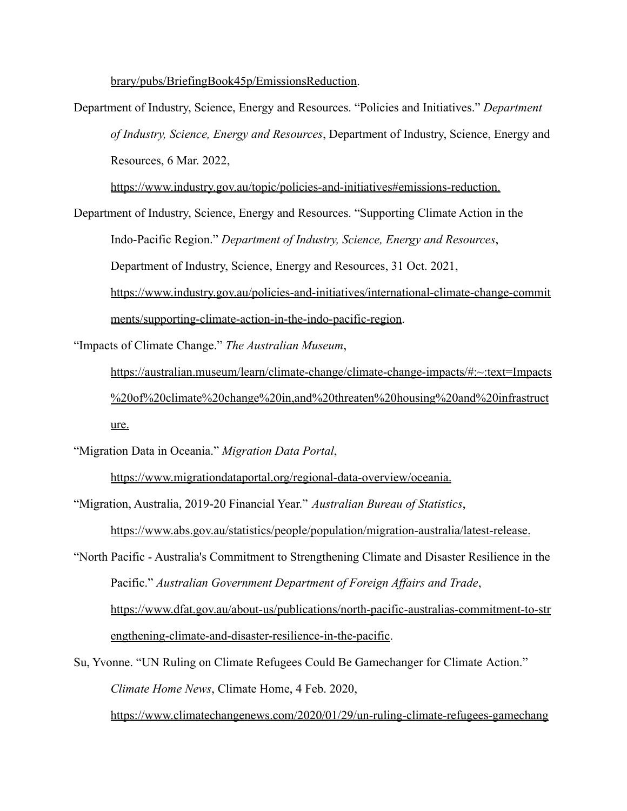brary/pubs/BriefingBook45p/EmissionsReduction.

Department of Industry, Science, Energy and Resources. "Policies and Initiatives." *Department of Industry, Science, Energy and Resources*, Department of Industry, Science, Energy and Resources, 6 Mar. 2022,

https://www.industry.gov.au/topic/policies-and-initiatives#emissions-reduction.

Department of Industry, Science, Energy and Resources. "Supporting Climate Action in the Indo-Pacific Region." *Department of Industry, Science, Energy and Resources*, Department of Industry, Science, Energy and Resources, 31 Oct. 2021,

https://www.industry.gov.au/policies-and-initiatives/international-climate-change-commit ments/supporting-climate-action-in-the-indo-pacific-region.

"Impacts of Climate Change." *The Australian Museum*,

https://australian.museum/learn/climate-change/climate-change-impacts/#:~:text=Impacts %20of%20climate%20change%20in,and%20threaten%20housing%20and%20infrastruct ure.

"Migration Data in Oceania." *Migration Data Portal*,

https://www.migrationdataportal.org/regional-data-overview/oceania.

"Migration, Australia, 2019-20 Financial Year." *Australian Bureau of Statistics*,

https://www.abs.gov.au/statistics/people/population/migration-australia/latest-release.

- "North Pacific Australia's Commitment to Strengthening Climate and Disaster Resilience in the Pacific." *Australian Government Department of Foreign Affairs and Trade*, https://www.dfat.gov.au/about-us/publications/north-pacific-australias-commitment-to-str engthening-climate-and-disaster-resilience-in-the-pacific.
- Su, Yvonne. "UN Ruling on Climate Refugees Could Be Gamechanger for Climate Action." *Climate Home News*, Climate Home, 4 Feb. 2020,

https://www.climatechangenews.com/2020/01/29/un-ruling-climate-refugees-gamechang